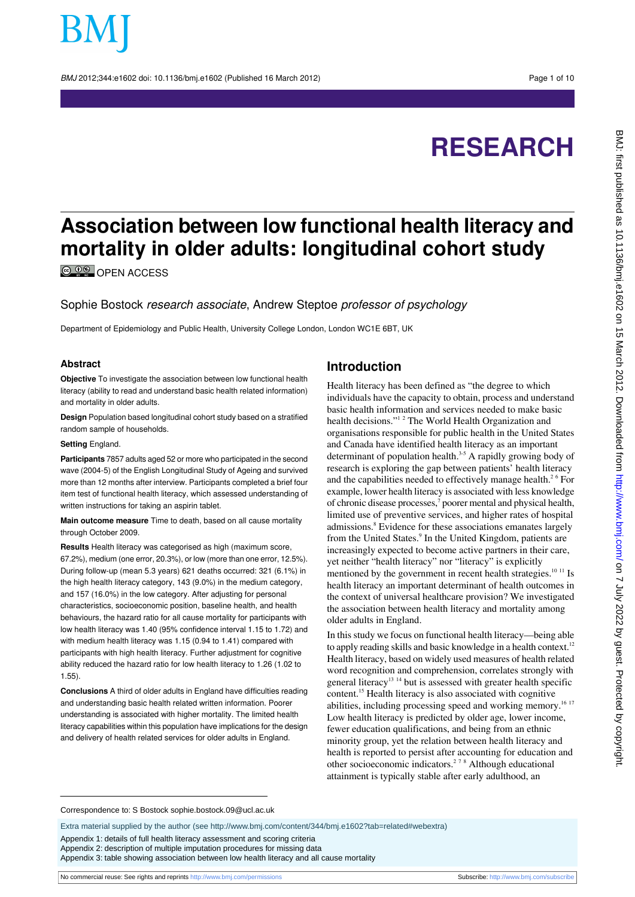BMJ 2012:344:e1602 doi: 10.1136/bmi.e1602 (Published 16 March 2012) Page 1 of 10

# **RESEARCH**

# **Association between low functional health literacy and mortality in older adults: longitudinal cohort study**

**© 00** OPEN ACCESS

Sophie Bostock research associate, Andrew Steptoe professor of psychology

Department of Epidemiology and Public Health, University College London, London WC1E 6BT, UK

#### **Abstract**

**Objective** To investigate the association between low functional health literacy (ability to read and understand basic health related information) and mortality in older adults.

**Design** Population based longitudinal cohort study based on a stratified random sample of households.

#### **Setting** England.

**Participants** 7857 adults aged 52 or more who participated in the second wave (2004-5) of the English Longitudinal Study of Ageing and survived more than 12 months after interview. Participants completed a brief four item test of functional health literacy, which assessed understanding of written instructions for taking an aspirin tablet.

**Main outcome measure** Time to death, based on all cause mortality through October 2009.

**Results** Health literacy was categorised as high (maximum score, 67.2%), medium (one error, 20.3%), or low (more than one error, 12.5%). During follow-up (mean 5.3 years) 621 deaths occurred: 321 (6.1%) in the high health literacy category, 143 (9.0%) in the medium category, and 157 (16.0%) in the low category. After adjusting for personal characteristics, socioeconomic position, baseline health, and health behaviours, the hazard ratio for all cause mortality for participants with low health literacy was 1.40 (95% confidence interval 1.15 to 1.72) and with medium health literacy was 1.15 (0.94 to 1.41) compared with participants with high health literacy. Further adjustment for cognitive ability reduced the hazard ratio for low health literacy to 1.26 (1.02 to 1.55).

**Conclusions** A third of older adults in England have difficulties reading and understanding basic health related written information. Poorer understanding is associated with higher mortality. The limited health literacy capabilities within this population have implications for the design and delivery of health related services for older adults in England.

# **Introduction**

Health literacy has been defined as "the degree to which individuals have the capacity to obtain, process and understand basic health information and services needed to make basic health decisions."<sup>12</sup> The World Health Organization and organisations responsible for public health in the United States and Canada have identified health literacy as an important determinant of population health.<sup>3-5</sup> A rapidly growing body of research is exploring the gap between patients' health literacy and the capabilities needed to effectively manage health.<sup>26</sup> For example, lower health literacy is associated with less knowledge of chronic disease processes,<sup>7</sup> poorer mental and physical health, limited use of preventive services, and higher rates of hospital admissions.<sup>8</sup> Evidence for these associations emanates largely from the United States.<sup>9</sup> In the United Kingdom, patients are increasingly expected to become active partners in their care, yet neither "health literacy" nor "literacy" is explicitly mentioned by the government in recent health strategies.<sup>10 11</sup> Is health literacy an important determinant of health outcomes in the context of universal healthcare provision? We investigated the association between health literacy and mortality among older adults in England.

In this study we focus on functional health literacy—being able to apply reading skills and basic knowledge in a health context.<sup>12</sup> Health literacy, based on widely used measures of health related word recognition and comprehension, correlates strongly with general literacy<sup>13</sup> <sup>14</sup> but is assessed with greater health specific content.<sup>15</sup> Health literacy is also associated with cognitive abilities, including processing speed and working memory.<sup>16 17</sup> Low health literacy is predicted by older age, lower income, fewer education qualifications, and being from an ethnic minority group, yet the relation between health literacy and health is reported to persist after accounting for education and other socioeconomic indicators.2 7 8 Although educational attainment is typically stable after early adulthood, an

Correspondence to: S Bostock sophie.bostock.09@ucl.ac.uk

Extra material supplied by the author (see [http://www.bmj.com/content/344/bmj.e1602?tab=related#webextra\)](http://www.bmj.com/content/344/bmj.e1602?tab=related#webextra)

Appendix 1: details of full health literacy assessment and scoring criteria

Appendix 2: description of multiple imputation procedures for missing data

Appendix 3: table showing association between low health literacy and all cause mortality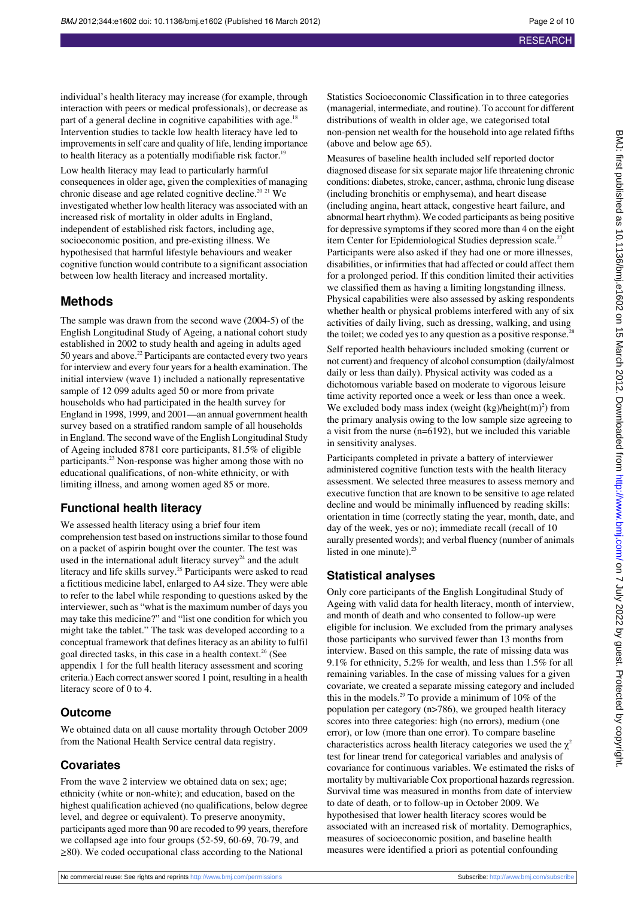individual's health literacy may increase (for example, through interaction with peers or medical professionals), or decrease as part of a general decline in cognitive capabilities with age.<sup>18</sup> Intervention studies to tackle low health literacy have led to improvements in self care and quality of life, lending importance to health literacy as a potentially modifiable risk factor.<sup>1</sup>

Low health literacy may lead to particularly harmful consequences in older age, given the complexities of managing chronic disease and age related cognitive decline.<sup>20 21</sup> We investigated whether low health literacy was associated with an increased risk of mortality in older adults in England, independent of established risk factors, including age, socioeconomic position, and pre-existing illness. We hypothesised that harmful lifestyle behaviours and weaker cognitive function would contribute to a significant association between low health literacy and increased mortality.

## **Methods**

The sample was drawn from the second wave (2004-5) of the English Longitudinal Study of Ageing, a national cohort study established in 2002 to study health and ageing in adults aged 50 years and above.<sup>22</sup> Participants are contacted every two years for interview and every four years for a health examination. The initial interview (wave 1) included a nationally representative sample of 12 099 adults aged 50 or more from private households who had participated in the health survey for England in 1998, 1999, and 2001—an annual government health survey based on a stratified random sample of all households in England. The second wave of the English Longitudinal Study of Ageing included 8781 core participants, 81.5% of eligible participants.<sup>23</sup> Non-response was higher among those with no educational qualifications, of non-white ethnicity, or with limiting illness, and among women aged 85 or more.

## **Functional health literacy**

We assessed health literacy using a brief four item comprehension test based on instructions similar to those found on a packet of aspirin bought over the counter. The test was used in the international adult literacy survey<sup>24</sup> and the adult literacy and life skills survey.<sup>25</sup> Participants were asked to read a fictitious medicine label, enlarged to A4 size. They were able to refer to the label while responding to questions asked by the interviewer, such as "what is the maximum number of days you may take this medicine?" and "list one condition for which you might take the tablet." The task was developed according to a conceptual framework that defines literacy as an ability to fulfil goal directed tasks, in this case in a health context.<sup>26</sup> (See appendix 1 for the full health literacy assessment and scoring criteria.) Each correct answer scored 1 point, resulting in a health literacy score of 0 to 4.

#### **Outcome**

We obtained data on all cause mortality through October 2009 from the National Health Service central data registry.

#### **Covariates**

From the wave 2 interview we obtained data on sex; age; ethnicity (white or non-white); and education, based on the highest qualification achieved (no qualifications, below degree level, and degree or equivalent). To preserve anonymity, participants aged more than 90 are recoded to 99 years, therefore we collapsed age into four groups (52-59, 60-69, 70-79, and ≥80). We coded occupational class according to the National

Statistics Socioeconomic Classification in to three categories (managerial, intermediate, and routine). To account for different distributions of wealth in older age, we categorised total non-pension net wealth for the household into age related fifths (above and below age 65).

Measures of baseline health included self reported doctor diagnosed disease for six separate major life threatening chronic conditions: diabetes, stroke, cancer, asthma, chronic lung disease (including bronchitis or emphysema), and heart disease (including angina, heart attack, congestive heart failure, and abnormal heart rhythm). We coded participants as being positive for depressive symptoms if they scored more than 4 on the eight item Center for Epidemiological Studies depression scale.<sup>27</sup> Participants were also asked if they had one or more illnesses, disabilities, or infirmities that had affected or could affect them for a prolonged period. If this condition limited their activities we classified them as having a limiting longstanding illness. Physical capabilities were also assessed by asking respondents whether health or physical problems interfered with any of six activities of daily living, such as dressing, walking, and using the toilet; we coded yes to any question as a positive response. Self reported health behaviours included smoking (current or not current) and frequency of alcohol consumption (daily/almost daily or less than daily). Physical activity was coded as a dichotomous variable based on moderate to vigorous leisure time activity reported once a week or less than once a week. We excluded body mass index (weight  $(kg)/height(m)^2$ ) from the primary analysis owing to the low sample size agreeing to a visit from the nurse (n=6192), but we included this variable in sensitivity analyses.

Participants completed in private a battery of interviewer administered cognitive function tests with the health literacy assessment. We selected three measures to assess memory and executive function that are known to be sensitive to age related decline and would be minimally influenced by reading skills: orientation in time (correctly stating the year, month, date, and day of the week, yes or no); immediate recall (recall of 10 aurally presented words); and verbal fluency (number of animals listed in one minute). $23$ 

#### **Statistical analyses**

Only core participants of the English Longitudinal Study of Ageing with valid data for health literacy, month of interview, and month of death and who consented to follow-up were eligible for inclusion. We excluded from the primary analyses those participants who survived fewer than 13 months from interview. Based on this sample, the rate of missing data was 9.1% for ethnicity, 5.2% for wealth, and less than 1.5% for all remaining variables. In the case of missing values for a given covariate, we created a separate missing category and included this in the models.<sup>29</sup> To provide a minimum of 10% of the population per category (n>786), we grouped health literacy scores into three categories: high (no errors), medium (one error), or low (more than one error). To compare baseline characteristics across health literacy categories we used the  $\gamma^2$ test for linear trend for categorical variables and analysis of covariance for continuous variables. We estimated the risks of mortality by multivariable Cox proportional hazards regression. Survival time was measured in months from date of interview to date of death, or to follow-up in October 2009. We hypothesised that lower health literacy scores would be associated with an increased risk of mortality. Demographics, measures of socioeconomic position, and baseline health measures were identified a priori as potential confounding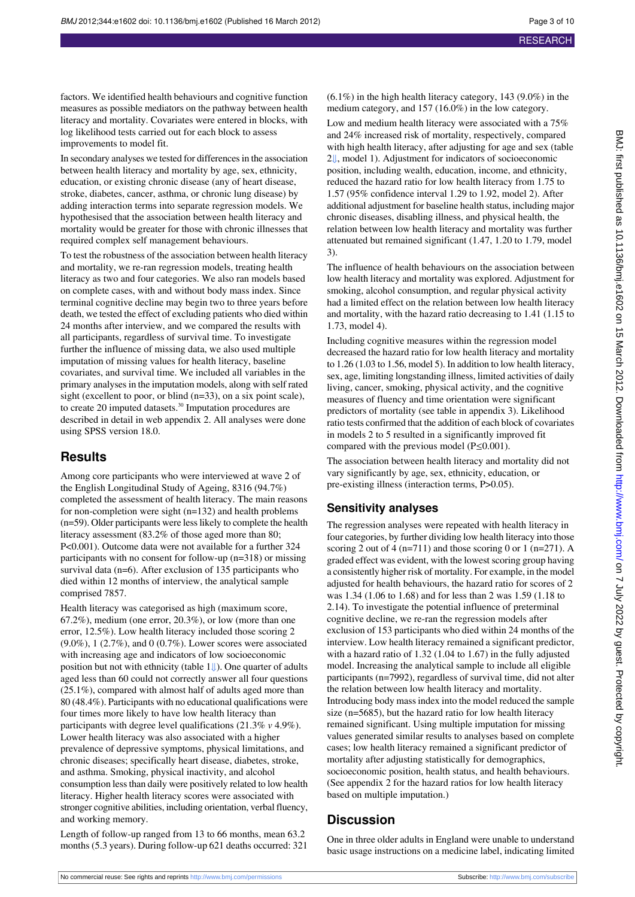factors. We identified health behaviours and cognitive function measures as possible mediators on the pathway between health literacy and mortality. Covariates were entered in blocks, with log likelihood tests carried out for each block to assess improvements to model fit.

In secondary analyses we tested for differences in the association between health literacy and mortality by age, sex, ethnicity, education, or existing chronic disease (any of heart disease, stroke, diabetes, cancer, asthma, or chronic lung disease) by adding interaction terms into separate regression models. We hypothesised that the association between health literacy and mortality would be greater for those with chronic illnesses that required complex self management behaviours.

To test the robustness of the association between health literacy and mortality, we re-ran regression models, treating health literacy as two and four categories. We also ran models based on complete cases, with and without body mass index. Since terminal cognitive decline may begin two to three years before death, we tested the effect of excluding patients who died within 24 months after interview, and we compared the results with all participants, regardless of survival time. To investigate further the influence of missing data, we also used multiple imputation of missing values for health literacy, baseline covariates, and survival time. We included all variables in the primary analyses in the imputation models, along with self rated sight (excellent to poor, or blind (n=33), on a six point scale), to create 20 imputed datasets.<sup>30</sup> Imputation procedures are described in detail in web appendix 2. All analyses were done using SPSS version 18.0.

# **Results**

Among core participants who were interviewed at wave 2 of the English Longitudinal Study of Ageing, 8316 (94.7%) completed the assessment of health literacy. The main reasons for non-completion were sight (n=132) and health problems (n=59). Older participants were less likely to complete the health literacy assessment (83.2% of those aged more than 80; P<0.001). Outcome data were not available for a further 324 participants with no consent for follow-up (n=318) or missing survival data (n=6). After exclusion of 135 participants who died within 12 months of interview, the analytical sample comprised 7857.

Health literacy was categorised as high (maximum score, 67.2%), medium (one error, 20.3%), or low (more than one error, 12.5%). Low health literacy included those scoring 2  $(9.0\%)$ , 1  $(2.7\%)$ , and 0  $(0.7\%)$ . Lower scores were associated with increasing age and indicators of low socioeconomic positionbut not with ethnicity (table  $1 \downarrow$ ). One quarter of adults aged less than 60 could not correctly answer all four questions (25.1%), compared with almost half of adults aged more than 80 (48.4%). Participants with no educational qualifications were four times more likely to have low health literacy than participants with degree level qualifications (21.3% *v* 4.9%). Lower health literacy was also associated with a higher prevalence of depressive symptoms, physical limitations, and chronic diseases; specifically heart disease, diabetes, stroke, and asthma. Smoking, physical inactivity, and alcohol consumption less than daily were positively related to low health literacy. Higher health literacy scores were associated with stronger cognitive abilities, including orientation, verbal fluency, and working memory.

Length of follow-up ranged from 13 to 66 months, mean 63.2 months (5.3 years). During follow-up 621 deaths occurred: 321  $(6.1\%)$  in the high health literacy category, 143 (9.0%) in the medium category, and 157 (16.0%) in the low category.

Low and medium health literacy were associated with a 75% and 24% increased risk of mortality, respectively, compared with high health literacy, after adjusting for age and sex (table [2⇓](#page-9-0), model 1). Adjustment for indicators of socioeconomic position, including wealth, education, income, and ethnicity, reduced the hazard ratio for low health literacy from 1.75 to 1.57 (95% confidence interval 1.29 to 1.92, model 2). After additional adjustment for baseline health status, including major chronic diseases, disabling illness, and physical health, the relation between low health literacy and mortality was further attenuated but remained significant (1.47, 1.20 to 1.79, model 3).

The influence of health behaviours on the association between low health literacy and mortality was explored. Adjustment for smoking, alcohol consumption, and regular physical activity had a limited effect on the relation between low health literacy and mortality, with the hazard ratio decreasing to 1.41 (1.15 to 1.73, model 4).

Including cognitive measures within the regression model decreased the hazard ratio for low health literacy and mortality to 1.26 (1.03 to 1.56, model 5). In addition to low health literacy, sex, age, limiting longstanding illness, limited activities of daily living, cancer, smoking, physical activity, and the cognitive measures of fluency and time orientation were significant predictors of mortality (see table in appendix 3). Likelihood ratio tests confirmed that the addition of each block of covariates in models 2 to 5 resulted in a significantly improved fit compared with the previous model (P≤0.001).

The association between health literacy and mortality did not vary significantly by age, sex, ethnicity, education, or pre-existing illness (interaction terms, P>0.05).

## **Sensitivity analyses**

The regression analyses were repeated with health literacy in four categories, by further dividing low health literacy into those scoring 2 out of 4 (n=711) and those scoring 0 or 1 (n=271). A graded effect was evident, with the lowest scoring group having a consistently higher risk of mortality. For example, in the model adjusted for health behaviours, the hazard ratio for scores of 2 was 1.34 (1.06 to 1.68) and for less than 2 was 1.59 (1.18 to 2.14). To investigate the potential influence of preterminal cognitive decline, we re-ran the regression models after exclusion of 153 participants who died within 24 months of the interview. Low health literacy remained a significant predictor, with a hazard ratio of 1.32 (1.04 to 1.67) in the fully adjusted model. Increasing the analytical sample to include all eligible participants (n=7992), regardless of survival time, did not alter the relation between low health literacy and mortality. Introducing body mass index into the model reduced the sample size (n=5685), but the hazard ratio for low health literacy remained significant. Using multiple imputation for missing values generated similar results to analyses based on complete cases; low health literacy remained a significant predictor of mortality after adjusting statistically for demographics, socioeconomic position, health status, and health behaviours. (See appendix 2 for the hazard ratios for low health literacy based on multiple imputation.)

# **Discussion**

One in three older adults in England were unable to understand basic usage instructions on a medicine label, indicating limited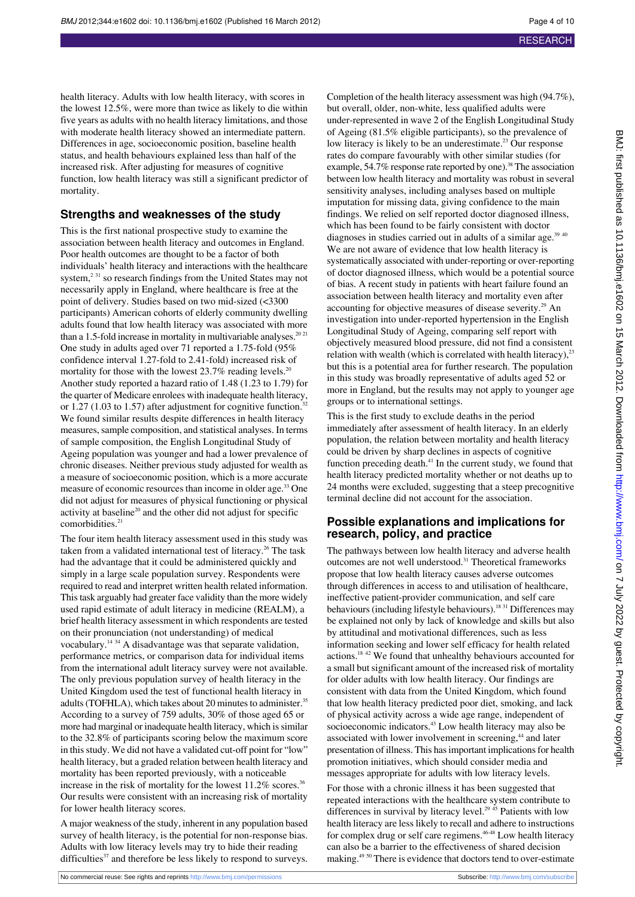health literacy. Adults with low health literacy, with scores in the lowest 12.5%, were more than twice as likely to die within five years as adults with no health literacy limitations, and those with moderate health literacy showed an intermediate pattern. Differences in age, socioeconomic position, baseline health status, and health behaviours explained less than half of the increased risk. After adjusting for measures of cognitive function, low health literacy was still a significant predictor of mortality.

#### **Strengths and weaknesses of the study**

This is the first national prospective study to examine the association between health literacy and outcomes in England. Poor health outcomes are thought to be a factor of both individuals' health literacy and interactions with the healthcare system,<sup>2 31</sup> so research findings from the United States may not necessarily apply in England, where healthcare is free at the point of delivery. Studies based on two mid-sized (<3300 participants) American cohorts of elderly community dwelling adults found that low health literacy was associated with more than a 1.5-fold increase in mortality in multivariable analyses.<sup>20 21</sup> One study in adults aged over 71 reported a 1.75-fold (95% confidence interval 1.27-fold to 2.41-fold) increased risk of mortality for those with the lowest  $23.7\%$  reading levels.<sup>20</sup> Another study reported a hazard ratio of 1.48 (1.23 to 1.79) for the quarter of Medicare enrolees with inadequate health literacy, or 1.27 (1.03 to 1.57) after adjustment for cognitive function.<sup>3</sup> We found similar results despite differences in health literacy measures, sample composition, and statistical analyses. In terms of sample composition, the English Longitudinal Study of Ageing population was younger and had a lower prevalence of chronic diseases. Neither previous study adjusted for wealth as a measure of socioeconomic position, which is a more accurate measure of economic resources than income in older age.<sup>33</sup> One did not adjust for measures of physical functioning or physical activity at baseline<sup>20</sup> and the other did not adjust for specific comorbidities.<sup>21</sup>

The four item health literacy assessment used in this study was taken from a validated international test of literacy.<sup>26</sup> The task had the advantage that it could be administered quickly and simply in a large scale population survey. Respondents were required to read and interpret written health related information. This task arguably had greater face validity than the more widely used rapid estimate of adult literacy in medicine (REALM), a brief health literacy assessment in which respondents are tested on their pronunciation (not understanding) of medical vocabulary.<sup>14 34</sup> A disadvantage was that separate validation, performance metrics, or comparison data for individual items from the international adult literacy survey were not available. The only previous population survey of health literacy in the United Kingdom used the test of functional health literacy in adults (TOFHLA), which takes about 20 minutes to administer.<sup>35</sup> According to a survey of 759 adults, 30% of those aged 65 or more had marginal or inadequate health literacy, which is similar to the 32.8% of participants scoring below the maximum score in this study. We did not have a validated cut-off point for "low" health literacy, but a graded relation between health literacy and mortality has been reported previously, with a noticeable increase in the risk of mortality for the lowest 11.2% scores.<sup>36</sup> Our results were consistent with an increasing risk of mortality for lower health literacy scores.

A major weakness of the study, inherent in any population based survey of health literacy, is the potential for non-response bias. Adults with low literacy levels may try to hide their reading difficulties $37$  and therefore be less likely to respond to surveys.

Completion of the health literacy assessment was high (94.7%), but overall, older, non-white, less qualified adults were under-represented in wave 2 of the English Longitudinal Study of Ageing (81.5% eligible participants), so the prevalence of low literacy is likely to be an underestimate.<sup>23</sup> Our response rates do compare favourably with other similar studies (for example, 54.7% response rate reported by one).<sup>38</sup> The association between low health literacy and mortality was robust in several sensitivity analyses, including analyses based on multiple imputation for missing data, giving confidence to the main findings. We relied on self reported doctor diagnosed illness, which has been found to be fairly consistent with doctor diagnoses in studies carried out in adults of a similar age.<sup>39 40</sup> We are not aware of evidence that low health literacy is systematically associated with under-reporting or over-reporting of doctor diagnosed illness, which would be a potential source of bias. A recent study in patients with heart failure found an association between health literacy and mortality even after accounting for objective measures of disease severity.<sup>29</sup> An investigation into under-reported hypertension in the English Longitudinal Study of Ageing, comparing self report with objectively measured blood pressure, did not find a consistent relation with wealth (which is correlated with health literacy), $^{23}$ but this is a potential area for further research. The population in this study was broadly representative of adults aged 52 or more in England, but the results may not apply to younger age groups or to international settings.

This is the first study to exclude deaths in the period immediately after assessment of health literacy. In an elderly population, the relation between mortality and health literacy could be driven by sharp declines in aspects of cognitive function preceding death.<sup>41</sup> In the current study, we found that health literacy predicted mortality whether or not deaths up to 24 months were excluded, suggesting that a steep precognitive terminal decline did not account for the association.

#### **Possible explanations and implications for research, policy, and practice**

The pathways between low health literacy and adverse health outcomes are not well understood.<sup>31</sup> Theoretical frameworks propose that low health literacy causes adverse outcomes through differences in access to and utilisation of healthcare, ineffective patient-provider communication, and self care behaviours (including lifestyle behaviours).<sup>18 31</sup> Differences may be explained not only by lack of knowledge and skills but also by attitudinal and motivational differences, such as less information seeking and lower self efficacy for health related actions.18 42 We found that unhealthy behaviours accounted for a small but significant amount of the increased risk of mortality for older adults with low health literacy. Our findings are consistent with data from the United Kingdom, which found that low health literacy predicted poor diet, smoking, and lack of physical activity across a wide age range, independent of socioeconomic indicators.<sup>43</sup> Low health literacy may also be associated with lower involvement in screening,<sup>44</sup> and later presentation of illness. This has important implications for health promotion initiatives, which should consider media and messages appropriate for adults with low literacy levels.

For those with a chronic illness it has been suggested that repeated interactions with the healthcare system contribute to differences in survival by literacy level.<sup>29 45</sup> Patients with low health literacy are less likely to recall and adhere to instructions for complex drug or self care regimens.<sup>46-48</sup> Low health literacy can also be a barrier to the effectiveness of shared decision making.49 50 There is evidence that doctors tend to over-estimate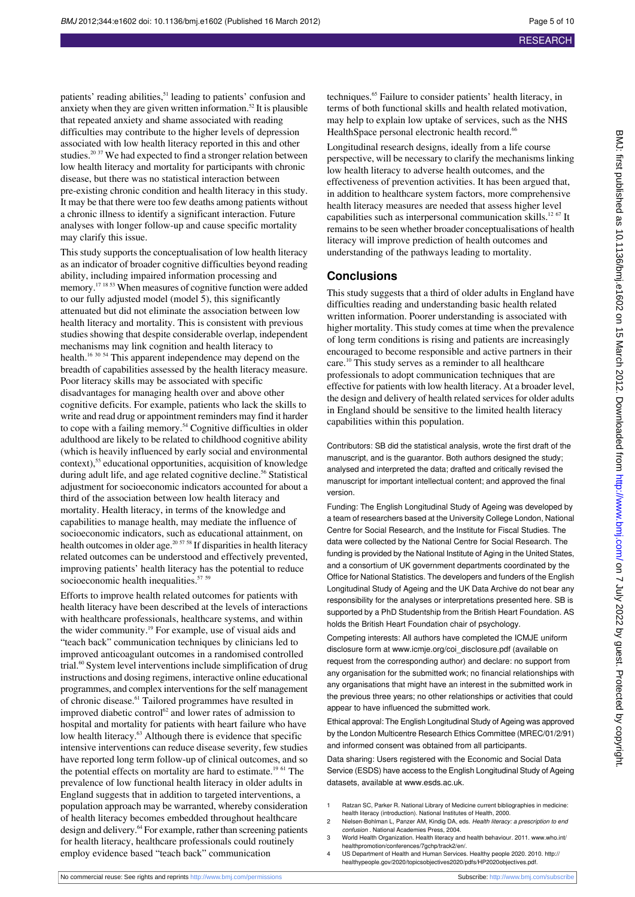patients' reading abilities,<sup>51</sup> leading to patients' confusion and anxiety when they are given written information.<sup>52</sup> It is plausible that repeated anxiety and shame associated with reading difficulties may contribute to the higher levels of depression associated with low health literacy reported in this and other studies.<sup>20 37</sup> We had expected to find a stronger relation between low health literacy and mortality for participants with chronic disease, but there was no statistical interaction between pre-existing chronic condition and health literacy in this study. It may be that there were too few deaths among patients without a chronic illness to identify a significant interaction. Future analyses with longer follow-up and cause specific mortality may clarify this issue.

This study supports the conceptualisation of low health literacy as an indicator of broader cognitive difficulties beyond reading ability, including impaired information processing and memory.<sup>17 18 53</sup> When measures of cognitive function were added to our fully adjusted model (model 5), this significantly attenuated but did not eliminate the association between low health literacy and mortality. This is consistent with previous studies showing that despite considerable overlap, independent mechanisms may link cognition and health literacy to health.<sup>16 30 54</sup> This apparent independence may depend on the breadth of capabilities assessed by the health literacy measure. Poor literacy skills may be associated with specific disadvantages for managing health over and above other cognitive deficits. For example, patients who lack the skills to write and read drug or appointment reminders may find it harder to cope with a failing memory.<sup>54</sup> Cognitive difficulties in older adulthood are likely to be related to childhood cognitive ability (which is heavily influenced by early social and environmental context),<sup>55</sup> educational opportunities, acquisition of knowledge during adult life, and age related cognitive decline.<sup>56</sup> Statistical adjustment for socioeconomic indicators accounted for about a third of the association between low health literacy and mortality. Health literacy, in terms of the knowledge and capabilities to manage health, may mediate the influence of socioeconomic indicators, such as educational attainment, on health outcomes in older age. $20\frac{57}{58}$  If disparities in health literacy related outcomes can be understood and effectively prevented, improving patients' health literacy has the potential to reduce socioeconomic health inequalities.<sup>57 59</sup>

Efforts to improve health related outcomes for patients with health literacy have been described at the levels of interactions with healthcare professionals, healthcare systems, and within the wider community.<sup>19</sup> For example, use of visual aids and "teach back" communication techniques by clinicians led to improved anticoagulant outcomes in a randomised controlled trial.<sup>60</sup> System level interventions include simplification of drug instructions and dosing regimens, interactive online educational programmes, and complex interventions for the self management of chronic disease.<sup>61</sup> Tailored programmes have resulted in improved diabetic control<sup>62</sup> and lower rates of admission to hospital and mortality for patients with heart failure who have low health literacy.<sup>63</sup> Although there is evidence that specific intensive interventions can reduce disease severity, few studies have reported long term follow-up of clinical outcomes, and so the potential effects on mortality are hard to estimate.<sup>19 61</sup> The prevalence of low functional health literacy in older adults in England suggests that in addition to targeted interventions, a population approach may be warranted, whereby consideration of health literacy becomes embedded throughout healthcare design and delivery.<sup>64</sup> For example, rather than screening patients for health literacy, healthcare professionals could routinely employ evidence based "teach back" communication

techniques.<sup>65</sup> Failure to consider patients' health literacy, in terms of both functional skills and health related motivation, may help to explain low uptake of services, such as the NHS HealthSpace personal electronic health record.<sup>66</sup>

Longitudinal research designs, ideally from a life course perspective, will be necessary to clarify the mechanisms linking low health literacy to adverse health outcomes, and the effectiveness of prevention activities. It has been argued that, in addition to healthcare system factors, more comprehensive health literacy measures are needed that assess higher level capabilities such as interpersonal communication skills.12 67 It remains to be seen whether broader conceptualisations of health literacy will improve prediction of health outcomes and understanding of the pathways leading to mortality.

#### **Conclusions**

This study suggests that a third of older adults in England have difficulties reading and understanding basic health related written information. Poorer understanding is associated with higher mortality. This study comes at time when the prevalence of long term conditions is rising and patients are increasingly encouraged to become responsible and active partners in their care.<sup>10</sup> This study serves as a reminder to all healthcare professionals to adopt communication techniques that are effective for patients with low health literacy. At a broader level, the design and delivery of health related services for older adults in England should be sensitive to the limited health literacy capabilities within this population.

Contributors: SB did the statistical analysis, wrote the first draft of the manuscript, and is the guarantor. Both authors designed the study; analysed and interpreted the data; drafted and critically revised the manuscript for important intellectual content; and approved the final version.

Funding: The English Longitudinal Study of Ageing was developed by a team of researchers based at the University College London, National Centre for Social Research, and the Institute for Fiscal Studies. The data were collected by the National Centre for Social Research. The funding is provided by the National Institute of Aging in the United States, and a consortium of UK government departments coordinated by the Office for National Statistics. The developers and funders of the English Longitudinal Study of Ageing and the UK Data Archive do not bear any responsibility for the analyses or interpretations presented here. SB is supported by a PhD Studentship from the British Heart Foundation. AS holds the British Heart Foundation chair of psychology.

Competing interests: All authors have completed the ICMJE uniform disclosure form at [www.icmje.org/coi\\_disclosure.pdf](http://www.icmje.org/coi_disclosure.pdf) (available on request from the corresponding author) and declare: no support from any organisation for the submitted work; no financial relationships with any organisations that might have an interest in the submitted work in the previous three years; no other relationships or activities that could appear to have influenced the submitted work.

Ethical approval: The English Longitudinal Study of Ageing was approved by the London Multicentre Research Ethics Committee (MREC/01/2/91) and informed consent was obtained from all participants.

Data sharing: Users registered with the Economic and Social Data Service (ESDS) have access to the English Longitudinal Study of Ageing datasets, available at [www.esds.ac.uk](http://www.esds.ac.uk/).

- 1 Ratzan SC, Parker R. National Library of Medicine current bibliographies in medicine: health literacy (introduction). National Institutes of Health, 2000.
- 2 Nielsen-Bohlman L, Panzer AM, Kindig DA, eds. Health literacy: a prescription to end confusion . National Academies Press, 2004.
- 3 World Health Organization. Health literacy and health behaviour. 2011. [www.who.int/](http://www.who.int/healthpromotion/conferences/7gchp/track2/en/) [healthpromotion/conferences/7gchp/track2/en/](http://www.who.int/healthpromotion/conferences/7gchp/track2/en/).
- 4 US Department of Health and Human Services. Healthy people 2020. 2010. [http://](http://healthypeople.gov/2020/topicsobjectives2020/pdfs/HP2020objectives.pdf) [healthypeople.gov/2020/topicsobjectives2020/pdfs/HP2020objectives.pdf.](http://healthypeople.gov/2020/topicsobjectives2020/pdfs/HP2020objectives.pdf)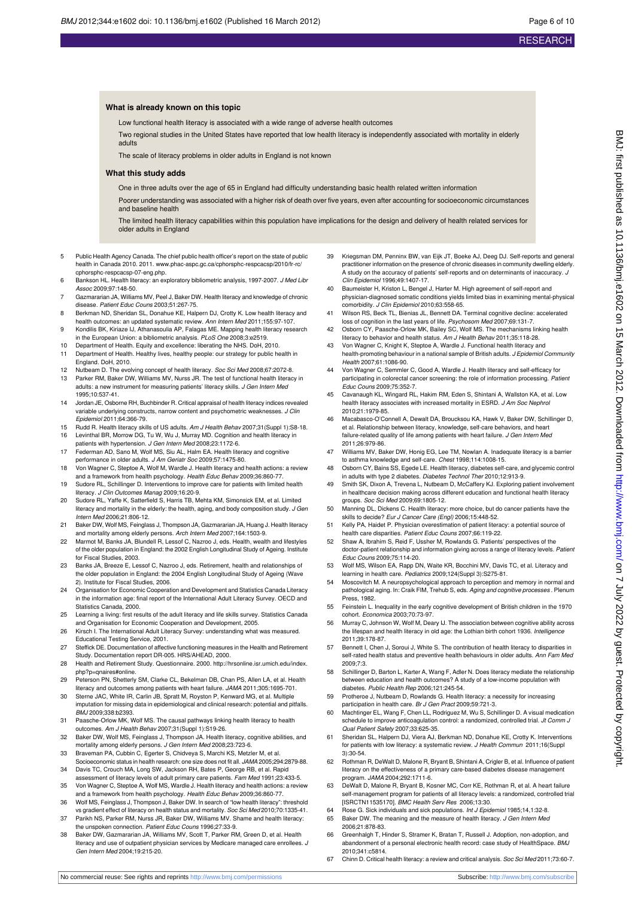#### **What is already known on this topic**

Low functional health literacy is associated with a wide range of adverse health outcomes

Two regional studies in the United States have reported that low health literacy is independently associated with mortality in elderly adults

The scale of literacy problems in older adults in England is not known

#### **What this study adds**

One in three adults over the age of 65 in England had difficulty understanding basic health related written information

Poorer understanding was associated with a higher risk of death over five years, even after accounting for socioeconomic circumstances and baseline health

The limited health literacy capabilities within this population have implications for the design and delivery of health related services for older adults in England

- 5 Public Health Agency Canada. The chief public health officer's report on the state of public health in Canada 2010. 2011. [www.phac-aspc.gc.ca/cphorsphc-respcacsp/2010/fr-rc/](http://www.phac-aspc.gc.ca/cphorsphc-respcacsp/2010/fr-rc/cphorsphc-respcacsp-07-eng.php) [cphorsphc-respcacsp-07-eng.php.](http://www.phac-aspc.gc.ca/cphorsphc-respcacsp/2010/fr-rc/cphorsphc-respcacsp-07-eng.php)
- 6 Bankson HL. Health literacy: an exploratory bibliometric analysis, 1997-2007. J Med Libr Assoc 2009;97:148-50.
- 7 Gazmararian JA, Williams MV, Peel J, Baker DW. Health literacy and knowledge of chronic disease. Patient Educ Couns 2003;51:267-75.
- 8 Berkman ND, Sheridan SL, Donahue KE, Halpern DJ, Crotty K. Low health literacy and health outcomes: an updated systematic review. Ann Intern Med 2011;155:97-107.
- 9 Kondilis BK, Kiriaze IJ, Athanasoulia AP, Falagas ME. Mapping health literacy research in the European Union: a bibliometric analysis. PLoS One 2008;3:e2519.
- 10 Department of Health. Equity and excellence: liberating the NHS. DoH, 2010. 11 Department of Health. Healthy lives, healthy people: our strategy for public health in England. DoH, 2010.
- 12 Nutbeam D. The evolving concept of health literacy. Soc Sci Med 2008;67:2072-8.
- 13 Parker RM, Baker DW, Williams MV, Nurss JR. The test of functional health literacy in adults: a new instrument for measuring patients' literacy skills. J Gen Intern Med 1995;10:537-41.
- 14 Jordan JE, Osborne RH, Buchbinder R. Critical appraisal of health literacy indices revealed variable underlying constructs, narrow content and psychometric weaknesses. J Clin Epidemiol 2011;64:366-79.
- 15 Rudd R. Health literacy skills of US adults. Am J Health Behav 2007;31(Suppl 1):S8-18. 16 Levinthal BR, Morrow DG, Tu W, Wu J, Murray MD. Cognition and health literacy in patients with hypertension. J Gen Intern Med 2008;23:1172-6.
- 17 Federman AD, Sano M, Wolf MS, Siu AL, Halm EA. Health literacy and cognitive performance in older adults. J Am Geriatr Soc 2009;57:1475-80.
- 18 Von Wagner C, Steptoe A, Wolf M, Wardle J. Health literacy and health actions: a review and a framework from health psychology. Health Educ Behav 2009;36:860-77.
- 19 Sudore RL, Schillinger D. Interventions to improve care for patients with limited health literacy. J Clin Outcomes Manag 2009;16:20-9.
- 20 Sudore RL, Yaffe K, Satterfield S, Harris TB, Mehta KM, Simonsick EM, et al. Limited literacy and mortality in the elderly: the health, aging, and body composition study. J Gen Intern Med 2006;21:806-12.
- 21 Baker DW, Wolf MS, Feinglass J, Thompson JA, Gazmararian JA, Huang J. Health literacy and mortality among elderly persons. Arch Intern Med 2007;164:1503-9.
- 22 Marmot M, Banks JA, Blundell R, Lessof C, Nazroo J, eds. Health, wealth and lifestyles of the older population in England: the 2002 English Longitudinal Study of Ageing. Institute for Fiscal Studies, 2003.
- 23 Banks JA, Breeze E, Lessof C, Nazroo J, eds. Retirement, health and relationships of the older population in England: the 2004 English Longitudinal Study of Ageing (Wave 2). Institute for Fiscal Studies, 2006.
- 24 Organisation for Economic Cooperation and Development and Statistics Canada Literacy in the information age: final report of the International Adult Literacy Survey. OECD and Statistics Canada, 2000.
- 25 Learning a living: first results of the adult literacy and life skills survey. Statistics Canada and Organisation for Economic Cooperation and Development, 2005.
- 26 Kirsch I. The International Adult Literacy Survey: understanding what was measured. Educational Testing Service, 2001.
- 27 Steffick DE. Documentation of affective functioning measures in the Health and Retirement Study. Documentation report DR-005. HRS/AHEAD, 2000.
- 28 Health and Retirement Study. Questionnaire. 2000. [http://hrsonline.isr.umich.edu/index.](http://hrsonline.isr.umich.edu/index.php?p=qnaires#online) [php?p=qnaires#online](http://hrsonline.isr.umich.edu/index.php?p=qnaires#online).
- 29 Peterson PN, Shetterly SM, Clarke CL, Bekelman DB, Chan PS, Allen LA, et al. Health literacy and outcomes among patients with heart failure. JAMA 2011;305:1695-701.
- 30 Sterne JAC, White IR, Carlin JB, Spratt M, Royston P, Kenward MG, et al. Multiple imputation for missing data in epidemiological and clinical research: potential and pitfalls. BMJ 2009;338:b2393.
- 31 Paasche-Orlow MK, Wolf MS. The causal pathways linking health literacy to health outcomes. Am J Health Behav 2007;31(Suppl 1):S19-26.
- 32 Baker DW, Wolf MS, Feinglass J, Thompson JA. Health literacy, cognitive abilities, and mortality among elderly persons. J Gen Intern Med 2008;23:723-6.
- 33 Braveman PA, Cubbin C, Egerter S, Chidveya S, Marchi KS, Metzler M, et al. Socioeconomic status in health research: one size does not fit all. JAMA 2005;294:2879-88. 34 Davis TC, Crouch MA, Long SW, Jackson RH, Bates P, George RB, et al. Rapid
- assessment of literacy levels of adult primary care patients. Fam Med 1991;23:433-5. 35 Von Wagner C, Steptoe A, Wolf MS, Wardle J. Health literacy and health actions: a review
- and a framework from health psychology. Health Educ Behav 2009;36:860-77. 36 Wolf MS, Feinglass J, Thompson J, Baker DW. In search of "low health literacy": threshold
- vs gradient effect of literacy on health status and mortality. Soc Sci Med 2010;70:1335-41. 37 Parikh NS, Parker RM, Nurss JR, Baker DW, Williams MV. Shame and health literacy:
- the unspoken connection. Patient Educ Couns 1996;27:33-9. 38 Baker DW, Gazmararian JA, Williams MV, Scott T, Parker RM, Green D, et al. Health
- literacy and use of outpatient physician services by Medicare managed care enrollees. J Gen Intern Med 2004;19:215-20.
- 39 Kriegsman DM, Penninx BW, van Eijk JT, Boeke AJ, Deeg DJ. Self-reports and general practitioner information on the presence of chronic diseases in community dwelling elderly. A study on the accuracy of patients' self-reports and on determinants of inaccuracy. J Clin Epidemiol 1996;49:1407-17.
- 40 Baumeister H, Kriston L, Bengel J, Harter M. High agreement of self-report and physician-diagnosed somatic conditions yields limited bias in examining mental-physical comorbidity. J Clin Epidemiol 2010;63:558-65.
- 41 Wilson RS, Beck TL, Bienias JL, Bennett DA. Terminal cognitive decline: accelerated loss of cognition in the last years of life. Psychosom Med 2007;69:131-7.
- 42 Osborn CY, Paasche-Orlow MK, Bailey SC, Wolf MS. The mechanisms linking health literacy to behavior and health status. Am J Health Behav 2011;35:118-28.
- 43 Von Wagner C, Knight K, Steptoe A, Wardle J. Functional health literacy and health-promoting behaviour in a national sample of British adults. J Epidemiol Community Health 2007;61:1086-90.
- 44 Von Wagner C, Semmler C, Good A, Wardle J. Health literacy and self-efficacy for participating in colorectal cancer screening: the role of information processing. Patient Educ Couns 2009;75:352-7.
- Cavanaugh KL, Wingard RL, Hakim RM, Eden S, Shintani A, Wallston KA, et al. Low health literacy associates with increased mortality in ESRD. J Am Soc Nephrol 2010;21:1979-85.
- 46 Macabasco-O'Connell A, Dewalt DA, Broucksou KA, Hawk V, Baker DW, Schillinger D, et al. Relationship between literacy, knowledge, self-care behaviors, and heart failure-related quality of life among patients with heart failure. J Gen Intern Med 2011;26:979-86.
- Williams MV, Baker DW, Honig EG, Lee TM, Nowlan A. Inadequate literacy is a barrier to asthma knowledge and self-care. Chest 1998;114:1008-15.
- 48 Osborn CY, Bains SS, Egede LE. Health literacy, diabetes self-care, and glycemic control in adults with type 2 diabetes. Diabetes Technol Ther 2010;12:913-9.
- Smith SK, Dixon A, Trevena L, Nutbeam D, McCaffery KJ. Exploring patient involvement in healthcare decision making across different education and functional health literacy groups. Soc Sci Med 2009;69:1805-12.
- 50 Manning DL, Dickens C. Health literacy: more choice, but do cancer patients have the skills to decide? Eur J Cancer Care (Engl) 2006;15:448-52.
- 51 Kelly PA, Haidet P. Physician overestimation of patient literacy: a potential source of health care disparities. Patient Educ Couns 2007;66:119-22.
- 52 Shaw A, Ibrahim S, Reid F, Ussher M, Rowlands G. Patients' perspectives of the doctor-patient relationship and information giving across a range of literacy levels. Patient Educ Couns 2009;75:114-20.
- 53 Wolf MS, Wilson EA, Rapp DN, Waite KR, Bocchini MV, Davis TC, et al. Literacy and learning in health care. Pediatrics 2009;124(Suppl 3):S275-81.
- 54 Moscovitch M. A neuropsychological approach to perception and memory in normal and pathological aging. In: Craik FIM, Trehub S, eds. Aging and cognitive processes. Plenum Press, 1982.
- 55 Feinstein L. Inequality in the early cognitive development of British children in the 1970 cohort. Economica 2003;70:73-97.
- 56 Murray C, Johnson W, Wolf M, Deary IJ. The association between cognitive ability across the lifespan and health literacy in old age: the Lothian birth cohort 1936. Intelligence 2011;39:178-87.
- 57 Bennett I, Chen J, Soroui J, White S. The contribution of health literacy to disparities in self-rated health status and preventive health behaviours in older adults. Ann Fam Med 2009;7:3.
- 58 Schillinger D, Barton L, Karter A, Wang F, Adler N. Does literacy mediate the relationship between education and health outcomes? A study of a low-income population with diabetes. Public Health Rep 2006;121:245-54.
- 59 Protheroe J, Nutbeam D, Rowlands G. Health literacy: a necessity for increasing participation in health care. Br J Gen Pract 2009;59:721-3.
- 60 Machtinger EL, Wang F, Chen LL, Rodriguez M, Wu S, Schillinger D. A visual medication schedule to improve anticoagulation control: a randomized, controlled trial. Jt Comm J Qual Patient Safety 2007;33:625-35.
- 61 Sheridan SL, Halpern DJ, Viera AJ, Berkman ND, Donahue KE, Crotty K. Interventions for patients with low literacy: a systematic review. J Health Commun 2011;16(Suppl 3):30-54.
- 62 Rothman R, DeWalt D, Malone R, Bryant B, Shintani A, Crigler B, et al. Influence of patient literacy on the effectiveness of a primary care-based diabetes disease management program. JAMA 2004;292:1711-6.
- 63 DeWalt D, Malone R, Bryant B, Kosner MC, Corr KE, Rothman R, et al. A heart failure self-management program for patients of all literacy levels: a randomized, controlled trial<br>[ISRCTN11535170]. *BMC Health Serv Res 2*006;13:30.
- For Bose G. Sick individuals and sick populations. *Int J Epidemiol* 1985;14,1:32-8.<br>65 Baker DW. The meaning and the measure of health literacy. *J Gen Intern Med*
- Baker DW. The meaning and the measure of health literacy. J Gen Intern Med 2006;21:878-83.
- 66 Greenhalgh T, Hinder S, Stramer K, Bratan T, Russell J. Adoption, non-adoption, and abandonment of a personal electronic health record: case study of HealthSpace. BMJ 2010;341:c5814.
- 67 Chinn D. Critical health literacy: a review and critical analysis. Soc Sci Med 2011;73:60-7.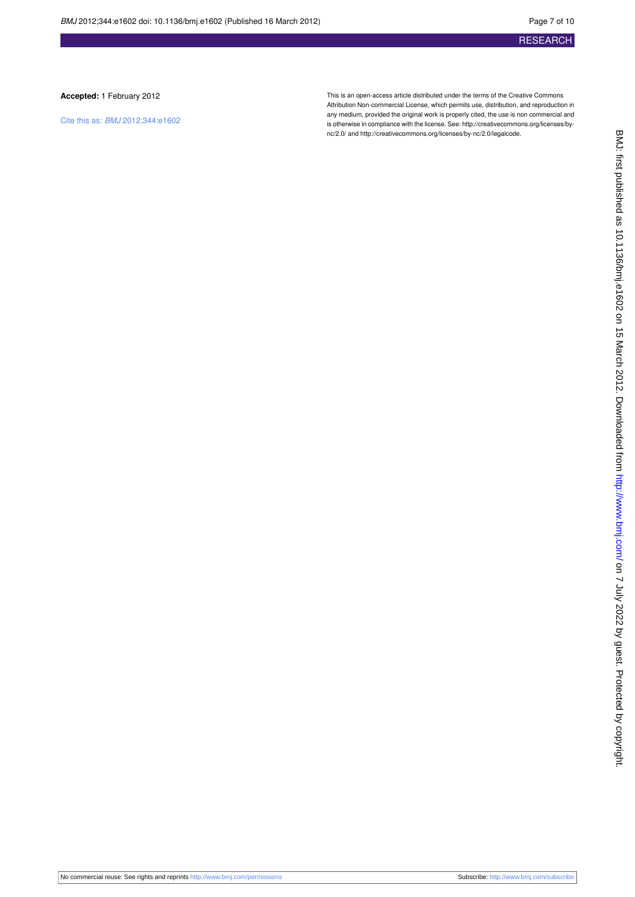#### **Accepted:** 1 February 2012

Cite this as: BMJ 2012;344:e1602

This is an open-access article distributed under the terms of the Creative Commons Attribution Non-commercial License, which permits use, distribution, and reproduction in any medium, provided the original work is properly cited, the use is non commercial and is otherwise in compliance with the license. See: [http://creativecommons.org/licenses/by](http://creativecommons.org/licenses/by-nc/2.0/)[nc/2.0/](http://creativecommons.org/licenses/by-nc/2.0/) and<http://creativecommons.org/licenses/by-nc/2.0/legalcode>.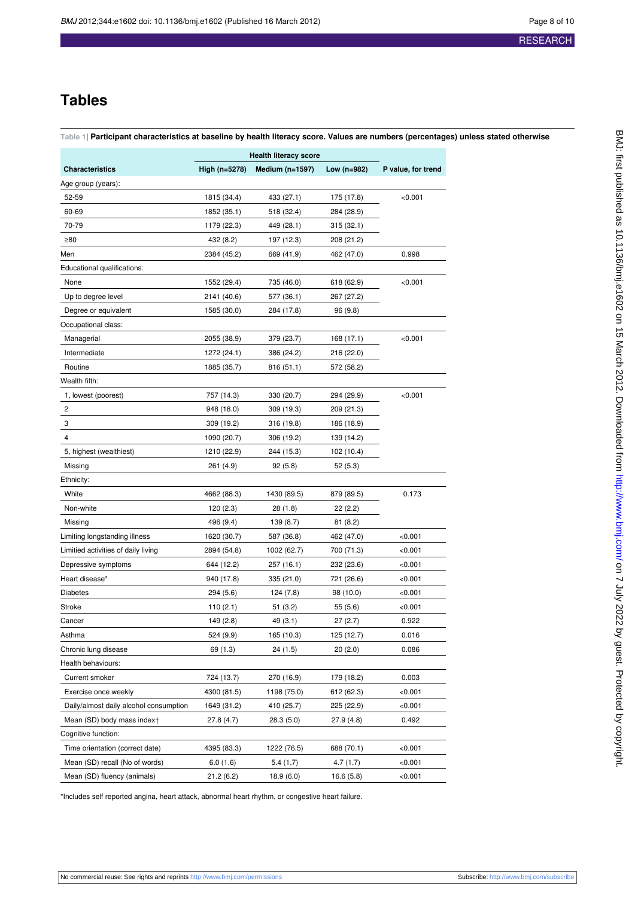# **Tables**

#### <span id="page-7-0"></span>**Table 1| Participant characteristics at baseline by health literacy score. Values are numbers (percentages) unless stated otherwise**

|                                        | <b>Health literacy score</b> |                   |             |                    |
|----------------------------------------|------------------------------|-------------------|-------------|--------------------|
| <b>Characteristics</b>                 | High (n=5278)                | Medium $(n=1597)$ | Low (n=982) | P value, for trend |
| Age group (years):                     |                              |                   |             |                    |
| 52-59                                  | 1815 (34.4)                  | 433 (27.1)        | 175 (17.8)  | < 0.001            |
| 60-69                                  | 1852 (35.1)                  | 518 (32.4)        | 284 (28.9)  |                    |
| 70-79                                  | 1179 (22.3)                  | 449 (28.1)        | 315(32.1)   |                    |
| ≥80                                    | 432 (8.2)                    | 197 (12.3)        | 208 (21.2)  |                    |
| Men                                    | 2384 (45.2)                  | 669 (41.9)        | 462 (47.0)  | 0.998              |
| Educational qualifications:            |                              |                   |             |                    |
| None                                   | 1552 (29.4)                  | 735 (46.0)        | 618 (62.9)  | < 0.001            |
| Up to degree level                     | 2141 (40.6)                  | 577 (36.1)        | 267 (27.2)  |                    |
| Degree or equivalent                   | 1585 (30.0)                  | 284 (17.8)        | 96(9.8)     |                    |
| Occupational class:                    |                              |                   |             |                    |
| Managerial                             | 2055 (38.9)                  | 379 (23.7)        | 168 (17.1)  | < 0.001            |
| Intermediate                           | 1272 (24.1)                  | 386 (24.2)        | 216 (22.0)  |                    |
| Routine                                | 1885 (35.7)                  | 816 (51.1)        | 572 (58.2)  |                    |
| Wealth fifth:                          |                              |                   |             |                    |
| 1, lowest (poorest)                    | 757 (14.3)                   | 330 (20.7)        | 294 (29.9)  | < 0.001            |
| 2                                      | 948 (18.0)                   | 309 (19.3)        | 209 (21.3)  |                    |
| 3                                      | 309 (19.2)                   | 316 (19.8)        | 186 (18.9)  |                    |
| 4                                      | 1090 (20.7)                  | 306 (19.2)        | 139 (14.2)  |                    |
| 5, highest (wealthiest)                | 1210 (22.9)                  | 244 (15.3)        | 102 (10.4)  |                    |
| Missing                                | 261 (4.9)                    | 92(5.8)           | 52(5.3)     |                    |
| Ethnicity:                             |                              |                   |             |                    |
| White                                  | 4662 (88.3)                  | 1430 (89.5)       | 879 (89.5)  | 0.173              |
| Non-white                              | 120 (2.3)                    | 28 (1.8)          | 22(2.2)     |                    |
| Missing                                | 496 (9.4)                    | 139 (8.7)         | 81(8.2)     |                    |
| Limiting longstanding illness          | 1620 (30.7)                  | 587 (36.8)        | 462 (47.0)  | < 0.001            |
| Limitied activities of daily living    | 2894 (54.8)                  | 1002 (62.7)       | 700 (71.3)  | <0.001             |
| Depressive symptoms                    | 644 (12.2)                   | 257 (16.1)        | 232 (23.6)  | < 0.001            |
| Heart disease*                         | 940 (17.8)                   | 335 (21.0)        | 721 (26.6)  | < 0.001            |
| Diabetes                               | 294 (5.6)                    | 124 (7.8)         | 98 (10.0)   | < 0.001            |
| Stroke                                 | 110 (2.1)                    | 51 (3.2)          | 55 (5.6)    | <0.001             |
| Cancer                                 | 149 (2.8)                    | 49 (3.1)          | 27(2.7)     | 0.922              |
| Asthma                                 | 524 (9.9)                    | 165 (10.3)        | 125 (12.7)  | 0.016              |
| Chronic lung disease                   | 69 (1.3)                     | 24 (1.5)          | 20(2.0)     | 0.086              |
| Health behaviours:                     |                              |                   |             |                    |
| <b>Current smoker</b>                  | 724 (13.7)                   | 270 (16.9)        | 179 (18.2)  | 0.003              |
| Exercise once weekly                   | 4300 (81.5)                  | 1198 (75.0)       | 612 (62.3)  | <0.001             |
| Daily/almost daily alcohol consumption | 1649 (31.2)                  | 410 (25.7)        | 225 (22.9)  | < 0.001            |
| Mean (SD) body mass indext             | 27.8 (4.7)                   | 28.3(5.0)         | 27.9(4.8)   | 0.492              |
| Cognitive function:                    |                              |                   |             |                    |
| Time orientation (correct date)        | 4395 (83.3)                  | 1222 (76.5)       | 688 (70.1)  | < 0.001            |
| Mean (SD) recall (No of words)         | 6.0(1.6)                     | 5.4(1.7)          | 4.7(1.7)    | < 0.001            |
| Mean (SD) fluency (animals)            | 21.2(6.2)                    | 18.9(6.0)         | 16.6 (5.8)  | < 0.001            |

\*Includes self reported angina, heart attack, abnormal heart rhythm, or congestive heart failure.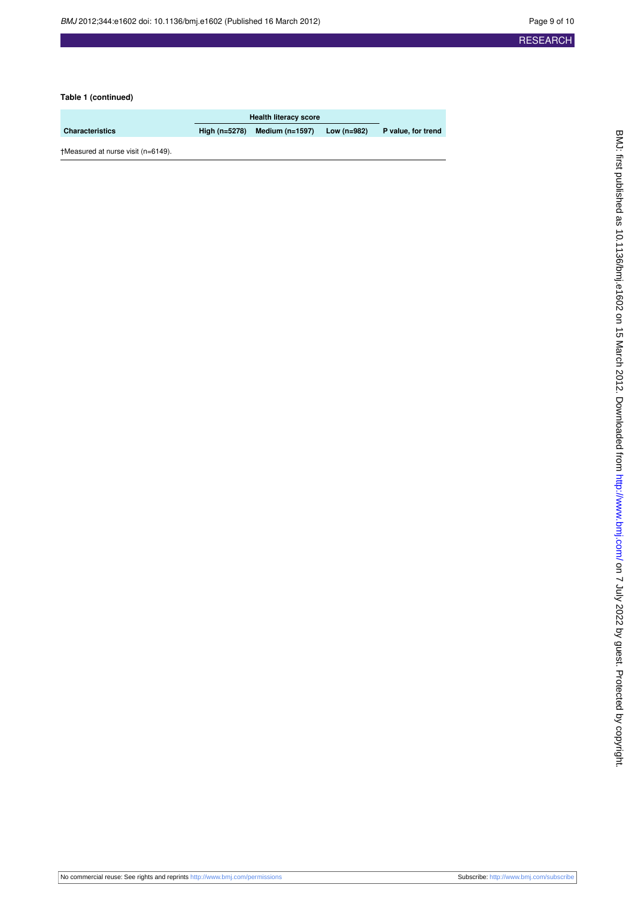#### **Table 1 (continued)**

|                                    | <b>Health literacy score</b> |                     |               |                    |
|------------------------------------|------------------------------|---------------------|---------------|--------------------|
| <b>Characteristics</b>             | High $(n=5278)$              | Medium ( $n=1597$ ) | Low $(n=982)$ | P value, for trend |
| +Measured at nurse visit (n=6149). |                              |                     |               |                    |